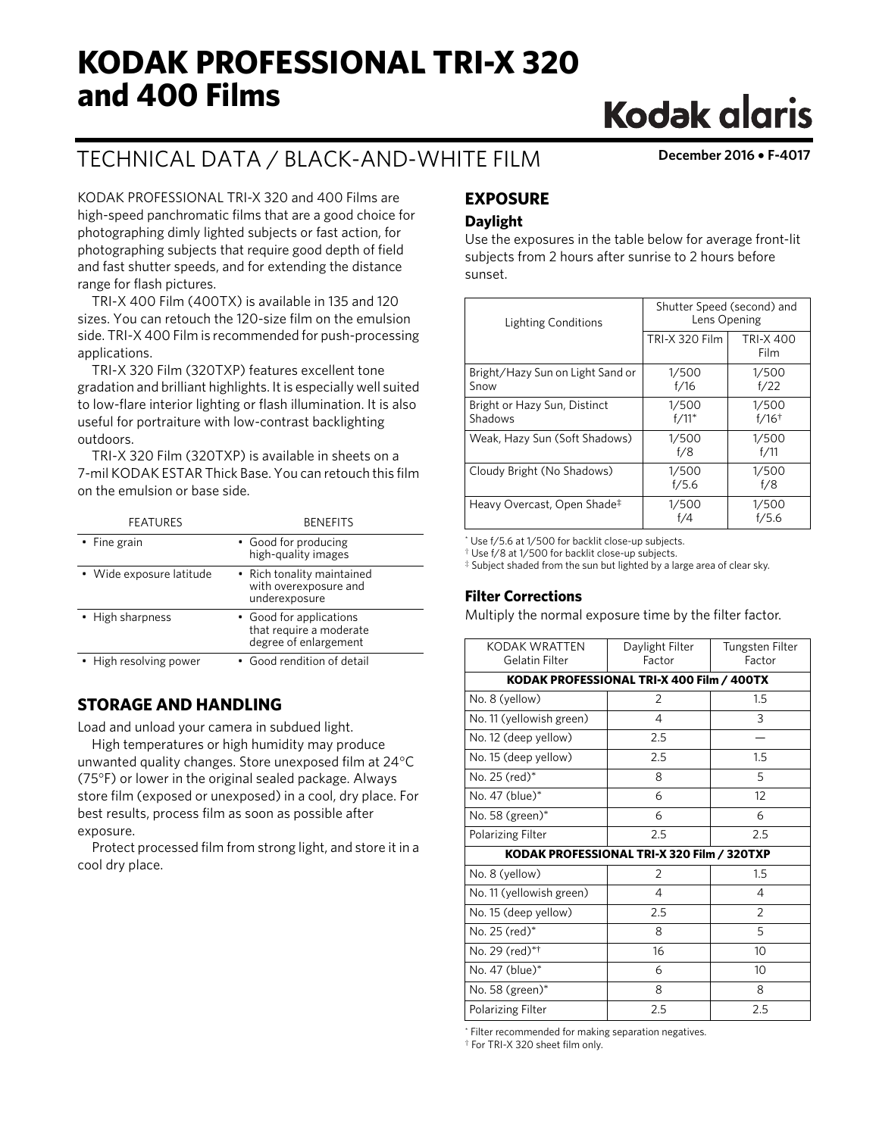# **KODAK PROFESSIONAL TRI-X 320 and 400 Films**

## TECHNICAL DATA / BLACK-AND-WHITE FILM **December 2016** • **F-4017**

**Kodak glaris** 

KODAK PROFESSIONAL TRI-X 320 and 400 Films are high-speed panchromatic films that are a good choice for photographing dimly lighted subjects or fast action, for photographing subjects that require good depth of field and fast shutter speeds, and for extending the distance range for flash pictures.

TRI-X 400 Film (400TX) is available in 135 and 120 sizes. You can retouch the 120-size film on the emulsion side. TRI-X 400 Film is recommended for push-processing applications.

TRI-X 320 Film (320TXP) features excellent tone gradation and brilliant highlights. It is especially well suited to low-flare interior lighting or flash illumination. It is also useful for portraiture with low-contrast backlighting outdoors.

TRI-X 320 Film (320TXP) is available in sheets on a 7-mil KODAK ESTAR Thick Base. You can retouch this film on the emulsion or base side.

| <b>FEATURES</b>          | <b>BENEFITS</b>                                                             |
|--------------------------|-----------------------------------------------------------------------------|
| • Fine grain             | • Good for producing<br>high-quality images                                 |
| • Wide exposure latitude | • Rich tonality maintained<br>with overexposure and<br>underexposure        |
| • High sharpness         | • Good for applications<br>that require a moderate<br>degree of enlargement |
| • High resolving power   | • Good rendition of detail                                                  |

## **STORAGE AND HANDLING**

Load and unload your camera in subdued light.

High temperatures or high humidity may produce unwanted quality changes. Store unexposed film at 24°C (75°F) or lower in the original sealed package. Always store film (exposed or unexposed) in a cool, dry place. For best results, process film as soon as possible after exposure.

Protect processed film from strong light, and store it in a cool dry place.

## **EXPOSURE**

## **Daylight**

Use the exposures in the table below for average front-lit subjects from 2 hours after sunrise to 2 hours before sunset.

| <b>Lighting Conditions</b>               | Shutter Speed (second) and<br>Lens Opening |                              |  |  |  |
|------------------------------------------|--------------------------------------------|------------------------------|--|--|--|
|                                          | <b>TRI-X 320 Film</b>                      | <b>TRI-X 400</b><br>Film     |  |  |  |
| Bright/Hazy Sun on Light Sand or<br>Snow | 1/500<br>f/16                              | 1/500<br>f/22                |  |  |  |
| Bright or Hazy Sun, Distinct<br>Shadows  | 1/500<br>$f/11*$                           | 1/500<br>$f/16$ <sup>†</sup> |  |  |  |
| Weak, Hazy Sun (Soft Shadows)            | 1/500<br>f/8                               | 1/500<br>f/11                |  |  |  |
| Cloudy Bright (No Shadows)               | 1/500<br>f/5.6                             | 1/500<br>f/8                 |  |  |  |
| Heavy Overcast, Open Shade‡              | 1/500<br>f/4                               | 1/500<br>f/5.6               |  |  |  |

\* Use f/5.6 at 1/500 for backlit close-up subjects.

† Use f/8 at 1/500 for backlit close-up subjects.

‡ Subject shaded from the sun but lighted by a large area of clear sky.

## **Filter Corrections**

Multiply the normal exposure time by the filter factor.

| KODAK WRATTEN<br>Gelatin Filter | Daylight Filter<br>Factor                  | Tungsten Filter<br>Factor |
|---------------------------------|--------------------------------------------|---------------------------|
|                                 | KODAK PROFESSIONAL TRI-X 400 Film / 400TX  |                           |
| No. 8 (yellow)                  | $\overline{2}$                             | 1.5                       |
| No. 11 (yellowish green)        | 4                                          | 3                         |
| No. 12 (deep yellow)            | 2.5                                        |                           |
| No. 15 (deep yellow)            | 2.5                                        | 1.5                       |
| No. 25 (red)*                   | 8                                          | 5                         |
| No. 47 (blue)*                  | 6                                          | 12                        |
| No. 58 $(green)*$               | 6                                          | 6                         |
| <b>Polarizing Filter</b>        | 2.5                                        | 2.5                       |
|                                 | KODAK PROFESSIONAL TRI-X 320 Film / 320TXP |                           |
| No. 8 (yellow)                  | $\overline{2}$                             | 1.5                       |
| No. 11 (yellowish green)        | 4                                          | 4                         |
| No. 15 (deep yellow)            | 2.5                                        | $\mathfrak{D}$            |
| No. 25 (red)*                   | 8                                          | 5                         |
| No. 29 (red)*†                  | 16                                         | 10                        |
| No. 47 (blue)*                  | 6                                          | 10                        |
| No. 58 $(green)*$               | 8                                          | 8                         |
| <b>Polarizing Filter</b>        | 2.5                                        | 2.5                       |

\* Filter recommended for making separation negatives. † For TRI-X 320 sheet film only.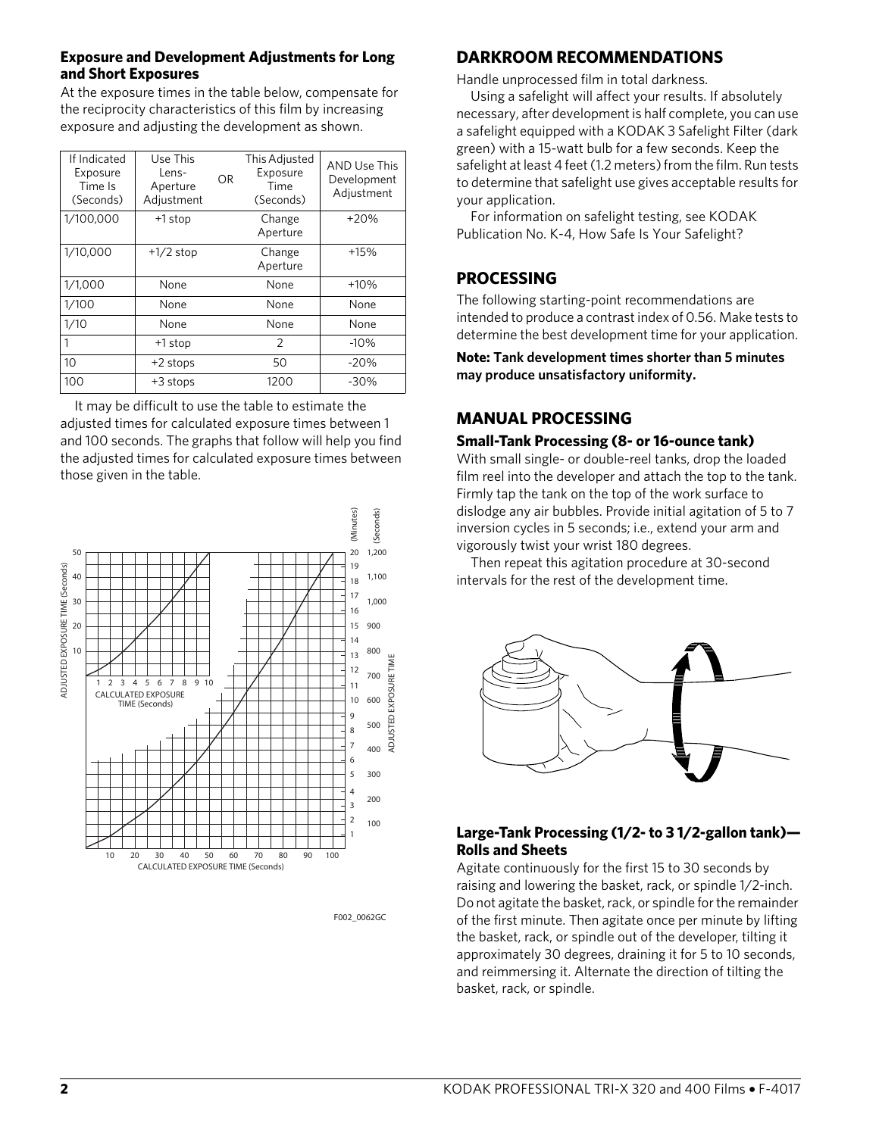## **Exposure and Development Adjustments for Long and Short Exposures**

At the exposure times in the table below, compensate for the reciprocity characteristics of this film by increasing exposure and adjusting the development as shown.

| If Indicated<br>Exposure<br>Time Is<br>(Seconds) | Use This<br>Lens-<br>Aperture<br>Adjustment | <b>OR</b> | This Adjusted<br>Exposure<br>Time<br>(Seconds) | <b>AND Use This</b><br>Development<br>Adjustment |
|--------------------------------------------------|---------------------------------------------|-----------|------------------------------------------------|--------------------------------------------------|
| 1/100,000                                        | +1 stop                                     |           | Change<br>Aperture                             | $+20%$                                           |
| 1/10,000                                         | $+1/2$ stop                                 |           | Change<br>Aperture                             | $+15%$                                           |
| 1/1,000                                          | None                                        |           | None                                           | $+10%$                                           |
| 1/100                                            | None                                        |           | None                                           | None                                             |
| 1/10                                             | None                                        |           | None                                           | None                                             |
| 1                                                | +1 stop                                     |           | 2                                              | $-10%$                                           |
| 10                                               | +2 stops                                    |           | 50                                             | $-20%$                                           |
| 100                                              | +3 stops                                    |           | 1200                                           | $-30%$                                           |

It may be difficult to use the table to estimate the adjusted times for calculated exposure times between 1 and 100 seconds. The graphs that follow will help you find the adjusted times for calculated exposure times between those given in the table.



F002 0062GC

## **DARKROOM RECOMMENDATIONS**

Handle unprocessed film in total darkness.

Using a safelight will affect your results. If absolutely necessary, after development is half complete, you can use a safelight equipped with a KODAK 3 Safelight Filter (dark green) with a 15-watt bulb for a few seconds. Keep the safelight at least 4 feet (1.2 meters) from the film. Run tests to determine that safelight use gives acceptable results for your application.

For information on safelight testing, see KODAK Publication No. K-4, How Safe Is Your Safelight?

## **PROCESSING**

The following starting-point recommendations are intended to produce a contrast index of 0.56. Make tests to determine the best development time for your application.

**Note: Tank development times shorter than 5 minutes may produce unsatisfactory uniformity.**

## **MANUAL PROCESSING**

## **Small-Tank Processing (8- or 16-ounce tank)**

With small single- or double-reel tanks, drop the loaded film reel into the developer and attach the top to the tank. Firmly tap the tank on the top of the work surface to dislodge any air bubbles. Provide initial agitation of 5 to 7 inversion cycles in 5 seconds; i.e., extend your arm and vigorously twist your wrist 180 degrees.

Then repeat this agitation procedure at 30-second intervals for the rest of the development time.



## **Large-Tank Processing (1/2- to 3 1/2-gallon tank)— Rolls and Sheets**

Agitate continuously for the first 15 to 30 seconds by raising and lowering the basket, rack, or spindle 1/2-inch. Do not agitate the basket, rack, or spindle for the remainder of the first minute. Then agitate once per minute by lifting the basket, rack, or spindle out of the developer, tilting it approximately 30 degrees, draining it for 5 to 10 seconds, and reimmersing it. Alternate the direction of tilting the basket, rack, or spindle.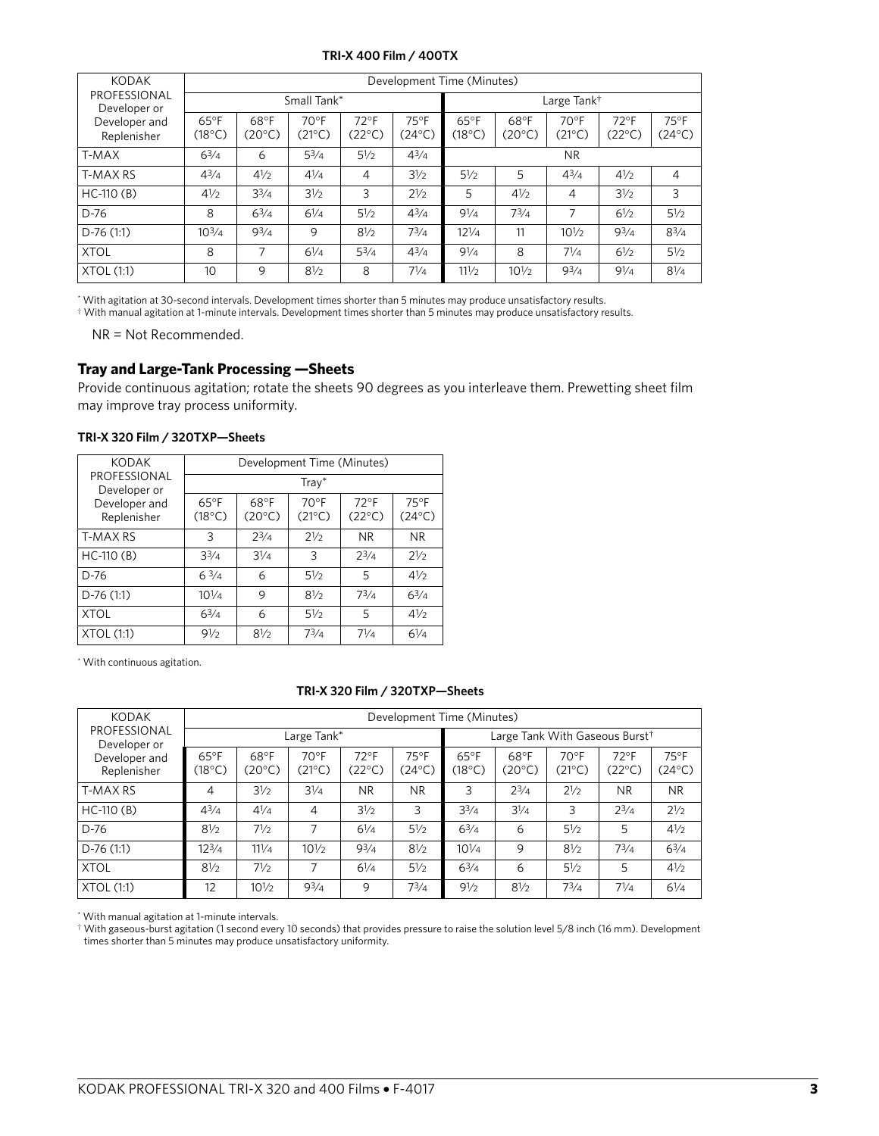#### **TRI-X 400 Film / 400TX**

| <b>KODAK</b>                 |                                   | Development Time (Minutes) |                          |                          |                         |                                   |                          |                         |                          |                          |  |
|------------------------------|-----------------------------------|----------------------------|--------------------------|--------------------------|-------------------------|-----------------------------------|--------------------------|-------------------------|--------------------------|--------------------------|--|
| PROFESSIONAL<br>Developer or |                                   |                            | Small Tank*              |                          |                         |                                   | Large Tank <sup>†</sup>  |                         |                          |                          |  |
| Developer and<br>Replenisher | $65^{\circ}$ F<br>$(18^{\circ}C)$ | 68°F<br>$(20^{\circ}C)$    | $70^{\circ}$ F<br>(21°C) | $72^{\circ}$ F<br>(22°C) | 75°F<br>$(24^{\circ}C)$ | $65^{\circ}$ F<br>$(18^{\circ}C)$ | 68°F<br>$(20^{\circ}$ C) | 70°F<br>$(21^{\circ}C)$ | $72^{\circ}$ F<br>(22°C) | $75^{\circ}$ F<br>(24°C) |  |
| T-MAX                        | $6^{3}/4$                         | 6                          | $5^{3}/4$                | $5\frac{1}{2}$           | $4^{3}/4$               |                                   |                          | <b>NR</b>               |                          |                          |  |
| T-MAX RS                     | $4^{3}/4$                         | 41/2                       | $4^{1/4}$                | 4                        | $3\frac{1}{2}$          | $5\frac{1}{2}$                    | 5                        | $4^{3}/4$               | 41/2                     | $\overline{4}$           |  |
| $HC-110(B)$                  | $4\frac{1}{2}$                    | $3^{3}/4$                  | $3\frac{1}{2}$           | 3                        | 21/2                    | 5                                 | 41/2                     | 4                       | 31/2                     | 3                        |  |
| $D-76$                       | 8                                 | $6^{3}/4$                  | $6\frac{1}{4}$           | $5\frac{1}{2}$           | $4^{3}/4$               | 91/4                              | $7^{3}/4$                | 7                       | 61/2                     | $5\frac{1}{2}$           |  |
| $D-76(1:1)$                  | $10^{3/4}$                        | $9^{3}/4$                  | 9                        | $8\frac{1}{2}$           | $7^{3}/4$               | $12\frac{1}{4}$                   | 11                       | $10\frac{1}{2}$         | $9^{3}/4$                | $8^{3}/4$                |  |
| <b>XTOL</b>                  | 8                                 | 7                          | $6\frac{1}{4}$           | $5^{3}/4$                | $4^{3}/4$               | 91/4                              | 8                        | $7^{1/4}$               | $6\frac{1}{2}$           | $5\frac{1}{2}$           |  |
| XTOL (1:1)                   | 10                                | 9                          | $8\frac{1}{2}$           | 8                        | $7^{1/4}$               | 111/2                             | $10\frac{1}{2}$          | $9^{3}/4$               | 91/4                     | $8\frac{1}{4}$           |  |

\* With agitation at 30-second intervals. Development times shorter than 5 minutes may produce unsatisfactory results.

† With manual agitation at 1-minute intervals. Development times shorter than 5 minutes may produce unsatisfactory results.

NR = Not Recommended.

#### **Tray and Large-Tank Processing —Sheets**

Provide continuous agitation; rotate the sheets 90 degrees as you interleave them. Prewetting sheet film may improve tray process uniformity.

| <b>KODAK</b>                 | Development Time (Minutes)        |                         |                            |                                   |                                   |  |  |  |  |
|------------------------------|-----------------------------------|-------------------------|----------------------------|-----------------------------------|-----------------------------------|--|--|--|--|
| PROFESSIONAL<br>Developer or |                                   | $T$ ray $*$             |                            |                                   |                                   |  |  |  |  |
| Developer and<br>Replenisher | $65^{\circ}$ F<br>$(18^{\circ}C)$ | 68°F<br>$(20^{\circ}C)$ | $70°$ F<br>$(21^{\circ}C)$ | $72^{\circ}$ F<br>$(22^{\circ}C)$ | $75^{\circ}$ F<br>$(24^{\circ}C)$ |  |  |  |  |
| T-MAX RS                     | 3                                 | $2^{3}/4$               | $2\frac{1}{2}$             | <b>NR</b>                         | <b>NR</b>                         |  |  |  |  |
| $HC-110(B)$                  | $3^{3}/4$                         | $3\frac{1}{4}$          | 3                          | $2^{3}/4$                         | $2\frac{1}{2}$                    |  |  |  |  |
| $D-76$                       | $6^{3/4}$                         | 6                       | $5\frac{1}{2}$             | 5                                 | $4\frac{1}{2}$                    |  |  |  |  |
| $D-76(1:1)$                  | $10^{1/4}$                        | 9                       | $8\frac{1}{2}$             | $7^{3}/4$                         | $6^{3}/4$                         |  |  |  |  |
| <b>XTOL</b>                  | $6^{3}/4$                         | 6                       | $5\frac{1}{2}$             | 5                                 | $4\frac{1}{2}$                    |  |  |  |  |
| <b>XTOL (1:1)</b>            | $9\frac{1}{2}$                    | $8\frac{1}{2}$          | $7^{3}/4$                  | $7\frac{1}{4}$                    | $6^{1/4}$                         |  |  |  |  |

#### **TRI-X 320 Film / 320TXP—Sheets**

\* With continuous agitation.

#### **TRI-X 320 Film / 320TXP—Sheets**

| <b>KODAK</b>                 |                          | Development Time (Minutes) |                          |                                   |                                   |                          |                                            |                                   |                          |                          |
|------------------------------|--------------------------|----------------------------|--------------------------|-----------------------------------|-----------------------------------|--------------------------|--------------------------------------------|-----------------------------------|--------------------------|--------------------------|
| PROFESSIONAL<br>Developer or | Large Tank*              |                            |                          |                                   |                                   |                          | Large Tank With Gaseous Burst <sup>†</sup> |                                   |                          |                          |
| Developer and<br>Replenisher | $65^{\circ}$ F<br>(18°C) | 68°F<br>(20°C)             | $70^{\circ}$ F<br>(21°C) | $72^{\circ}$ F<br>$(22^{\circ}C)$ | $75^{\circ}$ F<br>$(24^{\circ}C)$ | $65^{\circ}$ F<br>(18°C) | 68°F<br>$(20^{\circ}C)$                    | $70^{\circ}$ F<br>$(21^{\circ}C)$ | $72^{\circ}$ F<br>(22°C) | $75^{\circ}$ F<br>(24°C) |
| <b>T-MAX RS</b>              | 4                        | $3\frac{1}{2}$             | $3\frac{1}{4}$           | <b>NR</b>                         | <b>NR</b>                         | 3                        | $2^{3}/4$                                  | $2^{1/2}$                         | <b>NR</b>                | <b>NR</b>                |
| $HC-110(B)$                  | $4^{3}/4$                | $4\frac{1}{4}$             | $\overline{4}$           | $3\frac{1}{2}$                    | 3                                 | $3^{3}/4$                | $3\frac{1}{4}$                             | 3                                 | $2^{3}/4$                | $2\frac{1}{2}$           |
| $D-76$                       | $8\frac{1}{2}$           | $7\frac{1}{2}$             | 7                        | $6\frac{1}{4}$                    | $5\frac{1}{2}$                    | $6^{3}/4$                | 6                                          | $5\frac{1}{2}$                    | 5                        | $4\frac{1}{2}$           |
| $D-76(1:1)$                  | $12^{3}/4$               | $11^{1/4}$                 | $10\frac{1}{2}$          | $9^{3}/4$                         | $8\frac{1}{2}$                    | $10^{1/4}$               | 9                                          | $8\frac{1}{2}$                    | $7^{3}/4$                | $6^{3}/4$                |
| <b>XTOL</b>                  | $8\frac{1}{2}$           | 71/2                       | 7                        | $6\frac{1}{4}$                    | $5\frac{1}{2}$                    | $6^{3}/4$                | 6                                          | $5\frac{1}{2}$                    | 5                        | $4\frac{1}{2}$           |
| XTOL (1:1)                   | 12                       | $10\frac{1}{2}$            | $9^{3}/4$                | 9                                 | $7^{3}/4$                         | $9\frac{1}{2}$           | $8\frac{1}{2}$                             | $7^{3}/4$                         | $7\frac{1}{4}$           | $6\frac{1}{4}$           |

\* With manual agitation at 1-minute intervals.

† With gaseous-burst agitation (1 second every 10 seconds) that provides pressure to raise the solution level 5/8 inch (16 mm). Development times shorter than 5 minutes may produce unsatisfactory uniformity.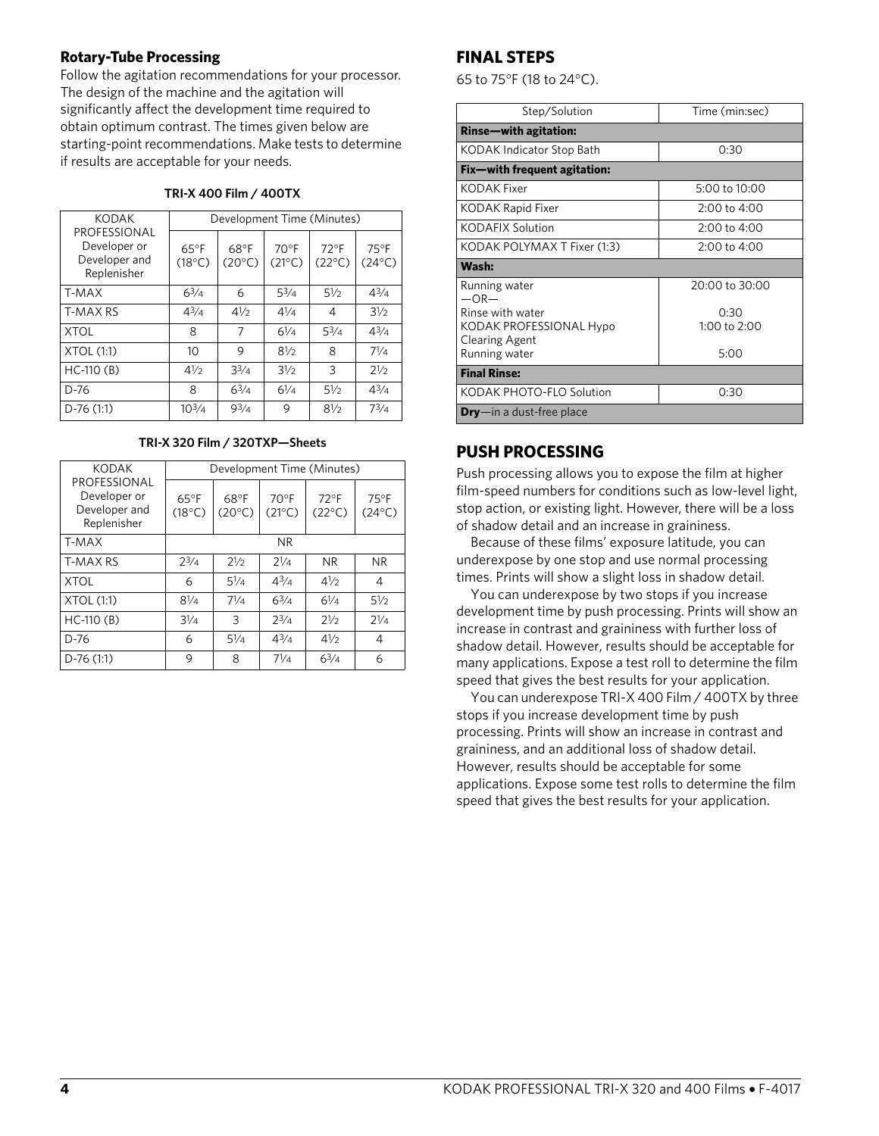## **Rotary-Tube Processing**

Follow the agitation recommendations for your processor. The design of the machine and the agitation will significantly affect the development time required to obtain optimum contrast. The times given below are starting-point recommendations. Make tests to determine if results are acceptable for your needs.

| <b>KODAK</b>                                                 | Development Time (Minutes)        |                         |                                   |                                   |                                   |  |  |  |
|--------------------------------------------------------------|-----------------------------------|-------------------------|-----------------------------------|-----------------------------------|-----------------------------------|--|--|--|
| PROFESSIONAL<br>Developer or<br>Developer and<br>Replenisher | $65^{\circ}$ F<br>$(18^{\circ}C)$ | 68°F<br>$(20^{\circ}C)$ | $70^{\circ}$ F<br>$(21^{\circ}C)$ | $72^{\circ}$ F<br>$(22^{\circ}C)$ | $75^{\circ}$ F<br>$(24^{\circ}C)$ |  |  |  |
| T-MAX                                                        | $6^{3}/4$                         | 6                       | $5^{3}/4$                         | $5\frac{1}{2}$                    | $4^{3}/4$                         |  |  |  |
| T-MAX RS                                                     | $4^{3}/4$                         | 41/2                    | $4^{1/4}$                         | 4                                 | 31/2                              |  |  |  |
| XTOL                                                         | 8                                 | 7                       | $6\frac{1}{4}$                    | $5^{3}/4$                         | $4^{3}/4$                         |  |  |  |
| XTOL (1:1)                                                   | 10                                | 9                       | $8\frac{1}{2}$                    | 8                                 | $7\frac{1}{4}$                    |  |  |  |
| HC-110 (B)                                                   | 41/2                              | $3^{3}/4$               | $3\frac{1}{2}$                    | 3                                 | 21/2                              |  |  |  |
| D-76                                                         | 8                                 | $6^{3/4}$               | $6\frac{1}{4}$                    | $5\frac{1}{2}$                    | $4^{3}/4$                         |  |  |  |

#### **TRI-X 400 Film / 400TX**

#### **TRI-X 320 Film / 320TXP—Sheets**

⁄2 73⁄4

D-76 (1:1)  $10^{3/4}$  9<sup>3</sup>/<sub>4</sub> 9 8<sup>1</sup>/<sub>2</sub>

| <b>KODAK</b>                                                 |                                   | Development Time (Minutes) |                                   |                                   |                                   |  |  |  |
|--------------------------------------------------------------|-----------------------------------|----------------------------|-----------------------------------|-----------------------------------|-----------------------------------|--|--|--|
| PROFESSIONAL<br>Developer or<br>Developer and<br>Replenisher | $65^{\circ}$ F<br>$(18^{\circ}C)$ | 68°F<br>$(20^{\circ}C)$    | $70^{\circ}$ F<br>$(21^{\circ}C)$ | $72^{\circ}$ F<br>$(22^{\circ}C)$ | $75^{\circ}$ F<br>$(24^{\circ}C)$ |  |  |  |
| T-MAX                                                        |                                   |                            | NR.                               |                                   |                                   |  |  |  |
| <b>T-MAX RS</b>                                              | $2^{3/4}$                         | 21/2                       | 21/a                              | N <sub>R</sub>                    | <b>NR</b>                         |  |  |  |
| <b>XTOL</b>                                                  | 6                                 | $5\frac{1}{4}$             | $4^{3}/_{4}$                      | 41/2                              | 4                                 |  |  |  |
| XTOL(1:1)                                                    | $8\frac{1}{4}$                    | $7^{1/4}$                  | 63/4                              | $6\frac{1}{4}$                    | $5\frac{1}{2}$                    |  |  |  |
| $HC-110(B)$                                                  | $3\frac{1}{4}$                    | 3                          | $2^{3/4}$                         | 21/2                              | $2^{1/4}$                         |  |  |  |
| $D-76$                                                       | 6                                 | $5\frac{1}{4}$             | $4^{3}/_{4}$                      | 41/2                              | 4                                 |  |  |  |
| $D-76(1:1)$                                                  | 9                                 | 8                          | $7\frac{1}{4}$                    | $6^{3/4}$                         | 6                                 |  |  |  |

## **FINAL STEPS**

65 to 75°F (18 to 24°C).

| Step/Solution                                                                         | Time (min:sec)                 |
|---------------------------------------------------------------------------------------|--------------------------------|
| Rinse-with agitation:                                                                 |                                |
| KODAK Indicator Stop Bath                                                             | 0:30                           |
| Fix—with frequent agitation:                                                          |                                |
| KODAK Fixer                                                                           | $5:00$ to $10:00$              |
| KODAK Rapid Fixer                                                                     | $2:00$ to $4:00$               |
| <b>KODAFIX Solution</b>                                                               | 2:00 to 4:00                   |
| KODAK POLYMAX T Fixer (1:3)                                                           | 2:00 to 4:00                   |
| Wash:                                                                                 |                                |
| Running water<br>$-OR-$                                                               | 20:00 to 30:00                 |
| Rinse with water<br>KODAK PROFESSIONAL Hypo<br><b>Clearing Agent</b><br>Running water | 0:30<br>1:00 to $2:00$<br>5:00 |
| <b>Final Rinse:</b>                                                                   |                                |
| KODAK PHOTO-FLO Solution                                                              | 0:30                           |
| <b>Dry</b> —in a dust-free place                                                      |                                |

## **PUSH PROCESSING**

Push processing allows you to expose the film at higher film-speed numbers for conditions such as low-level light, stop action, or existing light. However, there will be a loss of shadow detail and an increase in graininess.

Because of these films' exposure latitude, you can underexpose by one stop and use normal processing times. Prints will show a slight loss in shadow detail.

You can underexpose by two stops if you increase development time by push processing. Prints will show an increase in contrast and graininess with further loss of shadow detail. However, results should be acceptable for many applications. Expose a test roll to determine the film speed that gives the best results for your application.

You can underexpose TRI-X 400 Film / 400TX by three stops if you increase development time by push processing. Prints will show an increase in contrast and graininess, and an additional loss of shadow detail. However, results should be acceptable for some applications. Expose some test rolls to determine the film speed that gives the best results for your application.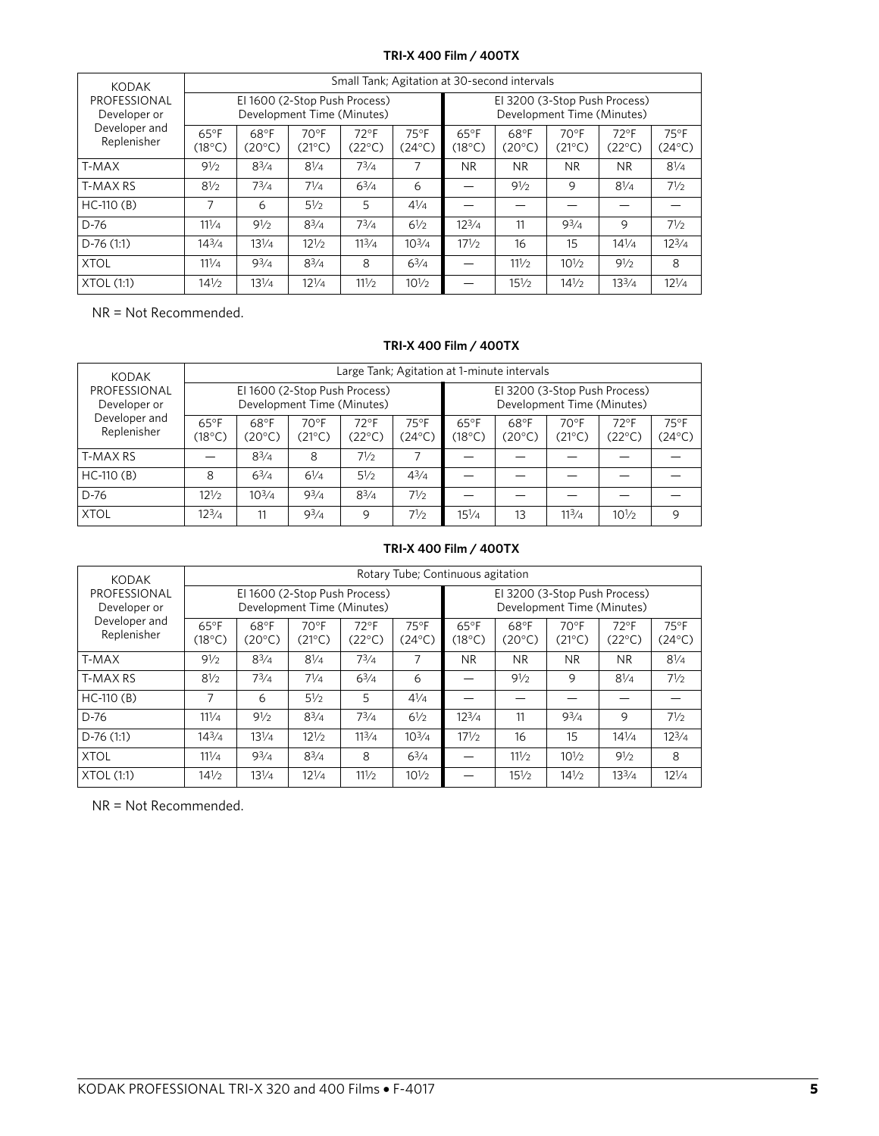## **TRI-X 400 Film / 400TX**

| <b>KODAK</b>                 |                                                             | Small Tank; Agitation at 30-second intervals |                         |                          |                                   |                                                             |                         |                                   |                                   |                          |
|------------------------------|-------------------------------------------------------------|----------------------------------------------|-------------------------|--------------------------|-----------------------------------|-------------------------------------------------------------|-------------------------|-----------------------------------|-----------------------------------|--------------------------|
| PROFESSIONAL<br>Developer or | El 1600 (2-Stop Push Process)<br>Development Time (Minutes) |                                              |                         |                          |                                   | El 3200 (3-Stop Push Process)<br>Development Time (Minutes) |                         |                                   |                                   |                          |
| Developer and<br>Replenisher | $65^{\circ}$ F<br>$(18^{\circ}C)$                           | 68°F<br>$(20^{\circ}C)$                      | 70°F<br>$(21^{\circ}C)$ | $72^{\circ}$ F<br>(22°C) | $75^{\circ}$ F<br>$(24^{\circ}C)$ | $65^{\circ}$ F<br>$(18^{\circ}C)$                           | 68°F<br>$(20^{\circ}C)$ | $70^{\circ}$ F<br>$(21^{\circ}C)$ | $72^{\circ}$ F<br>$(22^{\circ}C)$ | $75^{\circ}$ F<br>(24°C) |
| T-MAX                        | 91/2                                                        | $8^{3}/4$                                    | $8\frac{1}{4}$          | $7^{3}/4$                | 7                                 | NR.                                                         | N <sub>R</sub>          | <b>NR</b>                         | <b>NR</b>                         | $8\frac{1}{4}$           |
| <b>T-MAX RS</b>              | $8\frac{1}{2}$                                              | $7^{3}/4$                                    | $7^{1/4}$               | $6^{3}/4$                | 6                                 |                                                             | 91/2                    | 9                                 | $8\frac{1}{4}$                    | 71/2                     |
| $HC-110(B)$                  | 7                                                           | 6                                            | $5\frac{1}{2}$          | 5                        | $4\frac{1}{4}$                    |                                                             |                         |                                   |                                   |                          |
| D-76                         | $11^{1/4}$                                                  | $9\frac{1}{2}$                               | $8^{3}/4$               | $7^{3}/4$                | $6\frac{1}{2}$                    | $12^{3}/4$                                                  | 11                      | $9^{3}/4$                         | 9                                 | $7\frac{1}{2}$           |
| $D-76(1:1)$                  | $14^{3}/4$                                                  | $13^{1/4}$                                   | $12\frac{1}{2}$         | $11^{3}/4$               | $10^{3}/4$                        | $17\frac{1}{2}$                                             | 16                      | 15                                | $14^{1/4}$                        | $12^{3}/4$               |
| <b>XTOL</b>                  | $11^{1/4}$                                                  | $9^{3}/4$                                    | $8^{3}/4$               | 8                        | $6^{3}/4$                         |                                                             | 111/2                   | $10\frac{1}{2}$                   | 91/2                              | 8                        |
| XTOL(1:1)                    | $14\frac{1}{2}$                                             | $13^{1/4}$                                   | $12^{1/4}$              | 11!/2                    | $10\frac{1}{2}$                   |                                                             | $15\frac{1}{2}$         | $14\frac{1}{2}$                   | $13^{3}/4$                        | $12^{1/4}$               |

NR = Not Recommended.

#### **TRI-X 400 Film / 400TX**

| <b>KODAK</b>                 |                                   | Large Tank; Agitation at 1-minute intervals                                                                                |                |                          |                          |                          |                         |                          |                          |                         |
|------------------------------|-----------------------------------|----------------------------------------------------------------------------------------------------------------------------|----------------|--------------------------|--------------------------|--------------------------|-------------------------|--------------------------|--------------------------|-------------------------|
| PROFESSIONAL<br>Developer or |                                   | El 1600 (2-Stop Push Process)<br>El 3200 (3-Stop Push Process)<br>Development Time (Minutes)<br>Development Time (Minutes) |                |                          |                          |                          |                         |                          |                          |                         |
| Developer and<br>Replenisher | $65^{\circ}$ F<br>$(18^{\circ}C)$ | 68°F<br>(20°C)                                                                                                             | 70°F<br>(21°C) | $72^{\circ}$ F<br>(22°C) | $75^{\circ}$ F<br>(24°C) | $65^{\circ}$ F<br>(18°C) | 68°F<br>$(20^{\circ}C)$ | $70^{\circ}$ F<br>(21°C) | $72^{\circ}$ F<br>(22°C) | 75°F<br>$(24^{\circ}C)$ |
| T-MAX RS                     |                                   | $8^{3}/4$                                                                                                                  | 8              | $7\frac{1}{2}$           |                          |                          |                         |                          |                          |                         |
| $HC-110(B)$                  | 8                                 | $6^{3}/4$                                                                                                                  | $6\frac{1}{4}$ | $5\frac{1}{2}$           | $4^{3}/4$                |                          |                         |                          |                          |                         |
| D-76                         | $12\frac{1}{2}$                   | $10^{3/4}$                                                                                                                 | $9^{3}/4$      | $8^{3}/4$                | 71/2                     |                          |                         |                          |                          |                         |
| <b>XTOL</b>                  | $12^{3/4}$                        | 11                                                                                                                         | $9^{3}/4$      | 9                        | 71/2                     | $15\frac{1}{4}$          | 13                      | 11 <sup>3</sup> /4       | $10^{1/2}$               | 9                       |

## **TRI-X 400 Film / 400TX**

| <b>KODAK</b>                 | Rotary Tube; Continuous agitation                           |                         |                         |                                   |                                                             |                                   |                         |                                   |                                   |                          |
|------------------------------|-------------------------------------------------------------|-------------------------|-------------------------|-----------------------------------|-------------------------------------------------------------|-----------------------------------|-------------------------|-----------------------------------|-----------------------------------|--------------------------|
| PROFESSIONAL<br>Developer or | El 1600 (2-Stop Push Process)<br>Development Time (Minutes) |                         |                         |                                   | El 3200 (3-Stop Push Process)<br>Development Time (Minutes) |                                   |                         |                                   |                                   |                          |
| Developer and<br>Replenisher | $65^{\circ}$ F<br>$(18^{\circ}C)$                           | 68°F<br>$(20^{\circ}C)$ | 70°F<br>$(21^{\circ}C)$ | $72^{\circ}$ F<br>$(22^{\circ}C)$ | $75^{\circ}$ F<br>$(24^{\circ}C)$                           | $65^{\circ}$ F<br>$(18^{\circ}C)$ | 68°F<br>$(20^{\circ}C)$ | $70^{\circ}$ F<br>$(21^{\circ}C)$ | $72^{\circ}$ F<br>$(22^{\circ}C)$ | $75^{\circ}$ F<br>(24°C) |
| T-MAX                        | 91/2                                                        | $8^{3}/4$               | $8\frac{1}{4}$          | $7^{3}/4$                         | 7                                                           | NR.                               | <b>NR</b>               | <b>NR</b>                         | <b>NR</b>                         | $8\frac{1}{4}$           |
| T-MAX RS                     | $8\frac{1}{2}$                                              | $7^{3}/4$               | $7^{1/4}$               | $6^{3}/4$                         | 6                                                           |                                   | $9\frac{1}{2}$          | 9                                 | $8\frac{1}{4}$                    | $7\frac{1}{2}$           |
| $HC-110(B)$                  | 7                                                           | 6                       | $5\frac{1}{2}$          | 5                                 | $4\frac{1}{4}$                                              |                                   |                         |                                   |                                   |                          |
| D-76                         | $11^{1/4}$                                                  | 91/2                    | $8^{3}/4$               | $7^{3}/4$                         | $6\frac{1}{2}$                                              | $12^{3}/4$                        | 11                      | $9^{3}/4$                         | 9                                 | $7\frac{1}{2}$           |
| $D-76(1:1)$                  | $14^{3}/4$                                                  | $13^{1/4}$              | $12\frac{1}{2}$         | 11 <sup>3</sup> /4                | $10^{3}/4$                                                  | $17\frac{1}{2}$                   | 16                      | 15                                | $14\frac{1}{4}$                   | $12^{3}/4$               |
| <b>XTOL</b>                  | $11^{1/4}$                                                  | $9^{3}/4$               | $8^{3}/4$               | 8                                 | $6^{3}/4$                                                   |                                   | 111/2                   | $10\frac{1}{2}$                   | 91/2                              | 8                        |
| XTOL(1:1)                    | $14\frac{1}{2}$                                             | $13\frac{1}{4}$         | $12\frac{1}{4}$         | $11^{1/2}$                        | $10^{1/2}$                                                  |                                   | $15\frac{1}{2}$         | $14\frac{1}{2}$                   | $13^{3}/4$                        | $12^{1/4}$               |

NR = Not Recommended.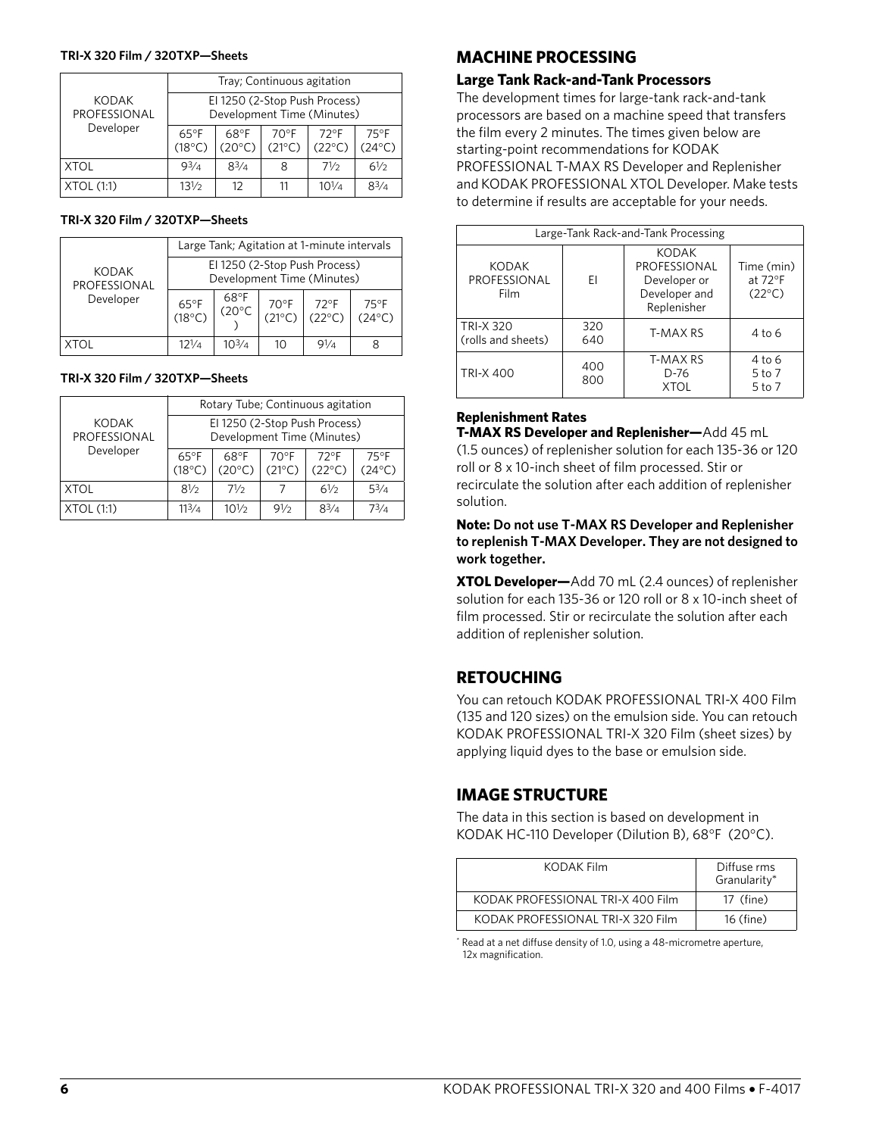#### **TRI-X 320 Film / 320TXP—Sheets**

|                              | Tray; Continuous agitation                                  |                         |                                   |                                   |                                   |  |  |
|------------------------------|-------------------------------------------------------------|-------------------------|-----------------------------------|-----------------------------------|-----------------------------------|--|--|
| <b>KODAK</b><br>PROFESSIONAL | El 1250 (2-Stop Push Process)<br>Development Time (Minutes) |                         |                                   |                                   |                                   |  |  |
| Developer                    | $65^{\circ}$ F<br>$(18^{\circ}C)$                           | 68°F<br>$(20^{\circ}C)$ | $70^{\circ}$ F<br>$(21^{\circ}C)$ | $72^{\circ}$ F<br>$(22^{\circ}C)$ | $75^{\circ}$ F<br>$(24^{\circ}C)$ |  |  |
| <b>XTOL</b>                  | $9^{3}/_{4}$                                                | $8^{3}/4$               | 8                                 | 71/2                              | 61/2                              |  |  |
| XTOL (1:1)                   | $13\frac{1}{2}$                                             | 12                      |                                   | $10^{1/4}$                        | $8^{3}/4$                         |  |  |

#### **TRI-X 320 Film / 320TXP—Sheets**

|                              | Large Tank; Agitation at 1-minute intervals                 |                                  |                         |                                   |                                   |  |  |
|------------------------------|-------------------------------------------------------------|----------------------------------|-------------------------|-----------------------------------|-----------------------------------|--|--|
| <b>KODAK</b><br>PROFESSIONAL | El 1250 (2-Stop Push Process)<br>Development Time (Minutes) |                                  |                         |                                   |                                   |  |  |
| Developer                    | $65^{\circ}F$<br>(18°C)                                     | $68^{\circ}F$<br>(20 $^{\circ}C$ | $70^{\circ}F$<br>(21°C) | $72^{\circ}$ F<br>$(22^{\circ}C)$ | $75^{\circ}$ F<br>$(24^{\circ}C)$ |  |  |
| <b>XTOL</b>                  | $12^{1/4}$                                                  | $10^{3}/_4$                      | 10                      | 91/a                              |                                   |  |  |

#### **TRI-X 320 Film / 320TXP—Sheets**

|                              | Rotary Tube; Continuous agitation                           |                         |                                   |                                   |                                   |  |  |
|------------------------------|-------------------------------------------------------------|-------------------------|-----------------------------------|-----------------------------------|-----------------------------------|--|--|
| <b>KODAK</b><br>PROFESSIONAL | El 1250 (2-Stop Push Process)<br>Development Time (Minutes) |                         |                                   |                                   |                                   |  |  |
| Developer                    | $65^{\circ}$ F<br>$(18^{\circ}C)$                           | 68°F<br>$(20^{\circ}C)$ | $70^{\circ}$ F<br>$(21^{\circ}C)$ | $72^{\circ}$ F<br>$(22^{\circ}C)$ | $75^{\circ}$ F<br>$(24^{\circ}C)$ |  |  |
| XTOL                         | 81/2                                                        | 71/2                    |                                   | 61/2                              | $5^{3}/4$                         |  |  |
| XTOL (1:1)                   | $11^{3}/_{4}$                                               | $10^{1/2}$              | 91/2                              | $8^{3}/4$                         | $7^{3}/_{4}$                      |  |  |

## **MACHINE PROCESSING**

## **Large Tank Rack-and-Tank Processors**

The development times for large-tank rack-and-tank processors are based on a machine speed that transfers the film every 2 minutes. The times given below are starting-point recommendations for KODAK PROFESSIONAL T-MAX RS Developer and Replenisher and KODAK PROFESSIONAL XTOL Developer. Make tests to determine if results are acceptable for your needs.

| Large-Tank Rack-and-Tank Processing    |            |                                                                       |                                                    |  |  |  |
|----------------------------------------|------------|-----------------------------------------------------------------------|----------------------------------------------------|--|--|--|
| <b>KODAK</b><br>PROFESSIONAL<br>Film   | FI         | KODAK<br>PROFESSIONAL<br>Developer or<br>Developer and<br>Replenisher | Time (min)<br>at $72^{\circ}$ F<br>$(22^{\circ}C)$ |  |  |  |
| <b>TRI-X 320</b><br>(rolls and sheets) | 320<br>640 | T-MAX RS                                                              | $4$ to 6                                           |  |  |  |
| 400<br><b>TRI-X 400</b><br>800         |            | T-MAX RS<br>D-76<br>XTOI                                              | 4 to 6<br>5 to 7<br>5 to 7                         |  |  |  |

#### **Replenishment Rates**

**T-MAX RS Developer and Replenisher—**Add 45 mL (1.5 ounces) of replenisher solution for each 135-36 or 120 roll or 8 x 10-inch sheet of film processed. Stir or recirculate the solution after each addition of replenisher solution.

**Note: Do not use T-MAX RS Developer and Replenisher to replenish T-MAX Developer. They are not designed to work together.**

**XTOL Developer—**Add 70 mL (2.4 ounces) of replenisher solution for each 135-36 or 120 roll or 8 x 10-inch sheet of film processed. Stir or recirculate the solution after each addition of replenisher solution.

## **RETOUCHING**

You can retouch KODAK PROFESSIONAL TRI-X 400 Film (135 and 120 sizes) on the emulsion side. You can retouch KODAK PROFESSIONAL TRI-X 320 Film (sheet sizes) by applying liquid dyes to the base or emulsion side.

## **IMAGE STRUCTURE**

The data in this section is based on development in KODAK HC-110 Developer (Dilution B), 68°F (20°C).

| KODAK Film                        | Diffuse rms<br>Granularity* |  |  |
|-----------------------------------|-----------------------------|--|--|
| KODAK PROFESSIONAL TRI-X 400 Film | 17 (fine)                   |  |  |
| KODAK PROFESSIONAL TRI-X 320 Film | 16 (fine)                   |  |  |

\* Read at a net diffuse density of 1.0, using a 48-micrometre aperture, 12x magnification.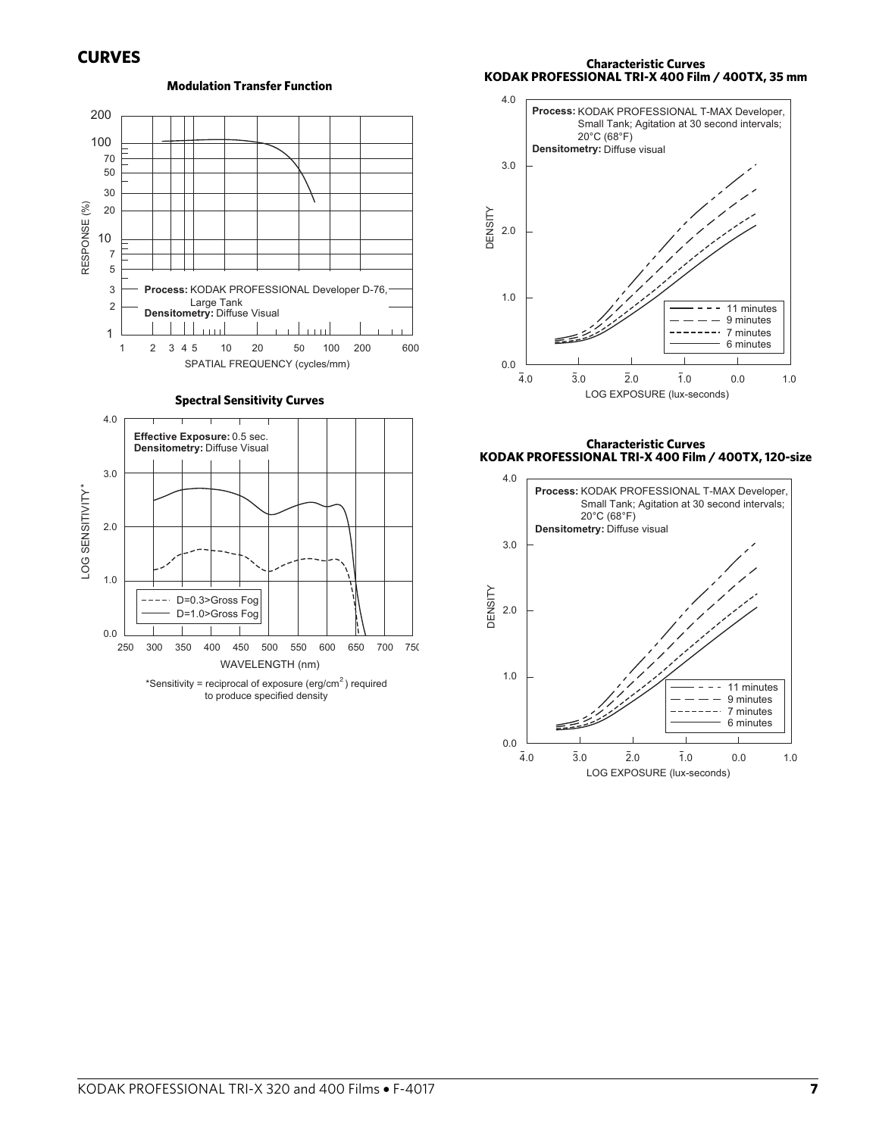200 100 70 50 30 RESPONSE (%)<br>
RESPONSE 20 20 7 5 3 Process: KODAK PROFESSIONAL Developer D-76, Large Tank 2 Densitometry: Diffuse Visual استلله  $1.111$ 1 1 2 3 4 5 10 20 50 100 200 600 SPATIAL FREQUENCY (cycles/mm)

**Modulation Transfer Function**

**Spectral Sensitivity Curves**





**Characteristic Curves KODAK PROFESSIONAL TRI-X 400 Film / 400TX, 35 mm**



**Characteristic Curves KODAK PROFESSIONAL TRI-X 400 Film / 400TX, 120-size**

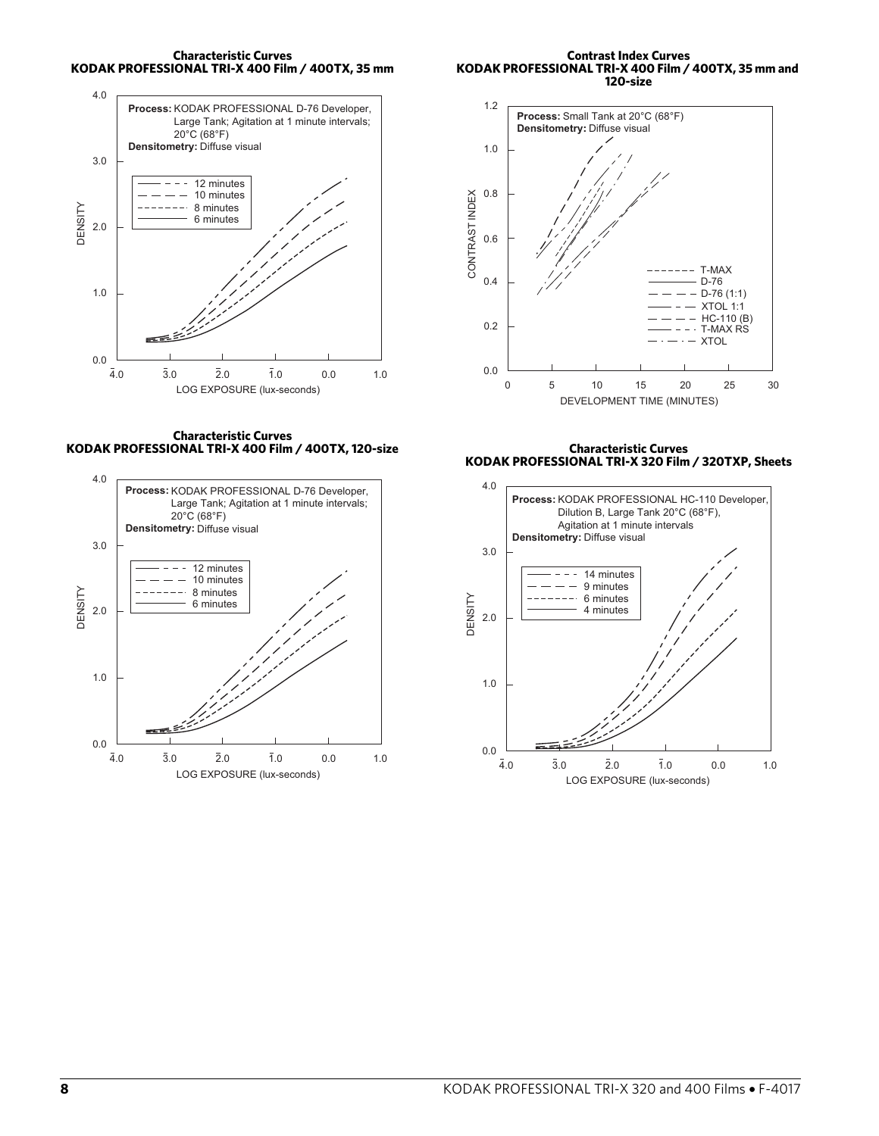**Characteristic Curves KODAK PROFESSIONAL TRI-X 400 Film / 400TX, 35 mm**



**Contrast Index Curves KODAK PROFESSIONAL TRI-X 400 Film / 400TX, 35 mm and 120-size**



**Characteristic Curves KODAK PROFESSIONAL TRI-X 400 Film / 400TX, 120-size**



**Characteristic Curves KODAK PROFESSIONAL TRI-X 320 Film / 320TXP, Sheets**